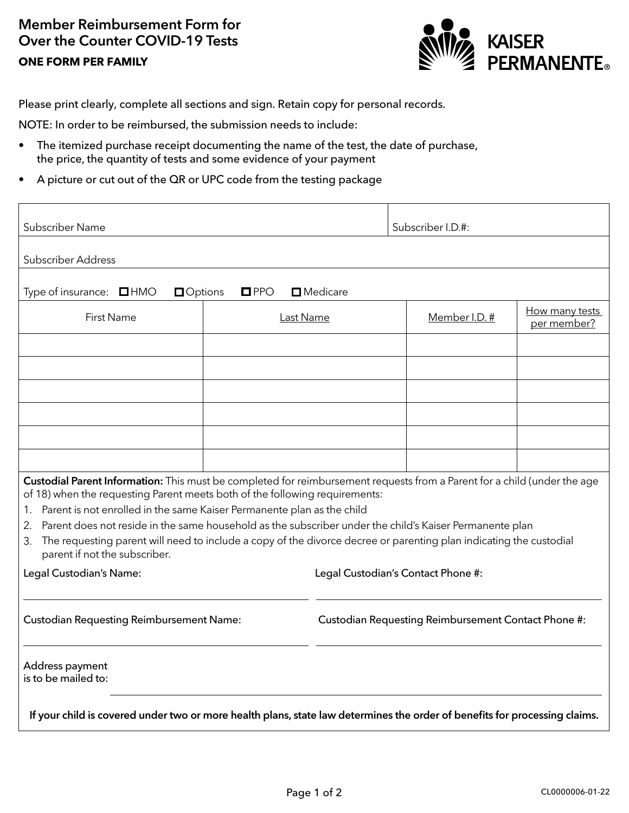## Member Reimbursement Form for Over the Counter COVID-19 Tests **ONE FORM PER FAMILY**



Please print clearly, complete all sections and sign. Retain copy for personal records.

NOTE: In order to be reimbursed, the submission needs to include:

- The itemized purchase receipt documenting the name of the test, the date of purchase, the price, the quantity of tests and some evidence of your payment
- A picture or cut out of the QR or UPC code from the testing package

| Subscriber Name                                                                                                                                                                                                                                                                                                                                                                                                                                                                                                                                                       |           | Subscriber I.D.#:                                   |               |                               |  |
|-----------------------------------------------------------------------------------------------------------------------------------------------------------------------------------------------------------------------------------------------------------------------------------------------------------------------------------------------------------------------------------------------------------------------------------------------------------------------------------------------------------------------------------------------------------------------|-----------|-----------------------------------------------------|---------------|-------------------------------|--|
| <b>Subscriber Address</b>                                                                                                                                                                                                                                                                                                                                                                                                                                                                                                                                             |           |                                                     |               |                               |  |
| $\square$ Medicare<br>Type of insurance: $\Box$ HMO<br><b>O</b> ptions<br>$\square$ PPO                                                                                                                                                                                                                                                                                                                                                                                                                                                                               |           |                                                     |               |                               |  |
| <b>First Name</b>                                                                                                                                                                                                                                                                                                                                                                                                                                                                                                                                                     | Last Name |                                                     | Member I.D. # | How many tests<br>per member? |  |
|                                                                                                                                                                                                                                                                                                                                                                                                                                                                                                                                                                       |           |                                                     |               |                               |  |
|                                                                                                                                                                                                                                                                                                                                                                                                                                                                                                                                                                       |           |                                                     |               |                               |  |
|                                                                                                                                                                                                                                                                                                                                                                                                                                                                                                                                                                       |           |                                                     |               |                               |  |
|                                                                                                                                                                                                                                                                                                                                                                                                                                                                                                                                                                       |           |                                                     |               |                               |  |
|                                                                                                                                                                                                                                                                                                                                                                                                                                                                                                                                                                       |           |                                                     |               |                               |  |
|                                                                                                                                                                                                                                                                                                                                                                                                                                                                                                                                                                       |           |                                                     |               |                               |  |
| Custodial Parent Information: This must be completed for reimbursement requests from a Parent for a child (under the age<br>of 18) when the requesting Parent meets both of the following requirements:<br>Parent is not enrolled in the same Kaiser Permanente plan as the child<br>1.<br>Parent does not reside in the same household as the subscriber under the child's Kaiser Permanente plan<br>2.<br>The requesting parent will need to include a copy of the divorce decree or parenting plan indicating the custodial<br>3.<br>parent if not the subscriber. |           |                                                     |               |                               |  |
| Legal Custodian's Name:                                                                                                                                                                                                                                                                                                                                                                                                                                                                                                                                               |           | Legal Custodian's Contact Phone #:                  |               |                               |  |
| <b>Custodian Requesting Reimbursement Name:</b>                                                                                                                                                                                                                                                                                                                                                                                                                                                                                                                       |           | Custodian Requesting Reimbursement Contact Phone #: |               |                               |  |
| Address payment<br>is to be mailed to:                                                                                                                                                                                                                                                                                                                                                                                                                                                                                                                                |           |                                                     |               |                               |  |
| If your child is covered under two or more health plans, state law determines the order of benefits for processing claims.                                                                                                                                                                                                                                                                                                                                                                                                                                            |           |                                                     |               |                               |  |